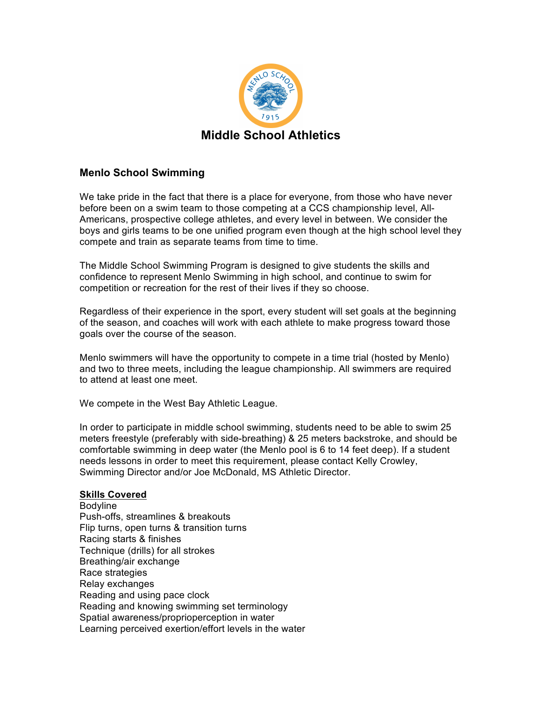

## **Menlo School Swimming**

We take pride in the fact that there is a place for everyone, from those who have never before been on a swim team to those competing at a CCS championship level, All-Americans, prospective college athletes, and every level in between. We consider the boys and girls teams to be one unified program even though at the high school level they compete and train as separate teams from time to time.

The Middle School Swimming Program is designed to give students the skills and confidence to represent Menlo Swimming in high school, and continue to swim for competition or recreation for the rest of their lives if they so choose.

Regardless of their experience in the sport, every student will set goals at the beginning of the season, and coaches will work with each athlete to make progress toward those goals over the course of the season.

Menlo swimmers will have the opportunity to compete in a time trial (hosted by Menlo) and two to three meets, including the league championship. All swimmers are required to attend at least one meet.

We compete in the West Bay Athletic League.

In order to participate in middle school swimming, students need to be able to swim 25 meters freestyle (preferably with side-breathing) & 25 meters backstroke, and should be comfortable swimming in deep water (the Menlo pool is 6 to 14 feet deep). If a student needs lessons in order to meet this requirement, please contact Kelly Crowley, Swimming Director and/or Joe McDonald, MS Athletic Director.

## **Skills Covered**

Bodyline Push-offs, streamlines & breakouts Flip turns, open turns & transition turns Racing starts & finishes Technique (drills) for all strokes Breathing/air exchange Race strategies Relay exchanges Reading and using pace clock Reading and knowing swimming set terminology Spatial awareness/proprioperception in water Learning perceived exertion/effort levels in the water